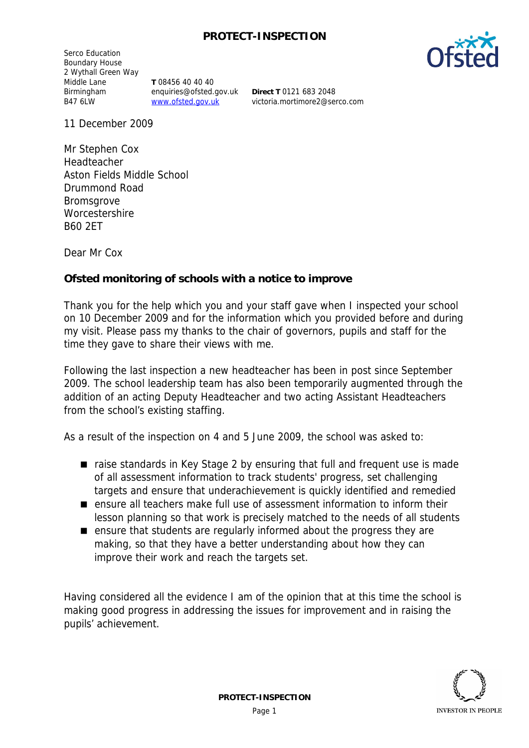## **PROTECT-INSPECTION**

Serco Education Boundary House 2 Wythall Green Way Middle Lane Birmingham B47 6LW

**T** 08456 40 40 40 enquiries@ofsted.gov.uk www.ofsted.gov.uk

**Direct T** 0121 683 2048 victoria.mortimore2@serco.com

11 December 2009

Mr Stephen Cox Headteacher Aston Fields Middle School Drummond Road Bromsgrove **Worcestershire** B60 2ET

Dear Mr Cox

**Ofsted monitoring of schools with a notice to improve**

Thank you for the help which you and your staff gave when I inspected your school on 10 December 2009 and for the information which you provided before and during my visit. Please pass my thanks to the chair of governors, pupils and staff for the time they gave to share their views with me.

Following the last inspection a new headteacher has been in post since September 2009. The school leadership team has also been temporarily augmented through the addition of an acting Deputy Headteacher and two acting Assistant Headteachers from the school's existing staffing.

As a result of the inspection on 4 and 5 June 2009, the school was asked to:

- $\blacksquare$  raise standards in Key Stage 2 by ensuring that full and frequent use is made of all assessment information to track students' progress, set challenging targets and ensure that underachievement is quickly identified and remedied
- ensure all teachers make full use of assessment information to inform their lesson planning so that work is precisely matched to the needs of all students
- ensure that students are regularly informed about the progress they are making, so that they have a better understanding about how they can improve their work and reach the targets set.

Having considered all the evidence I am of the opinion that at this time the school is making good progress in addressing the issues for improvement and in raising the pupils' achievement.

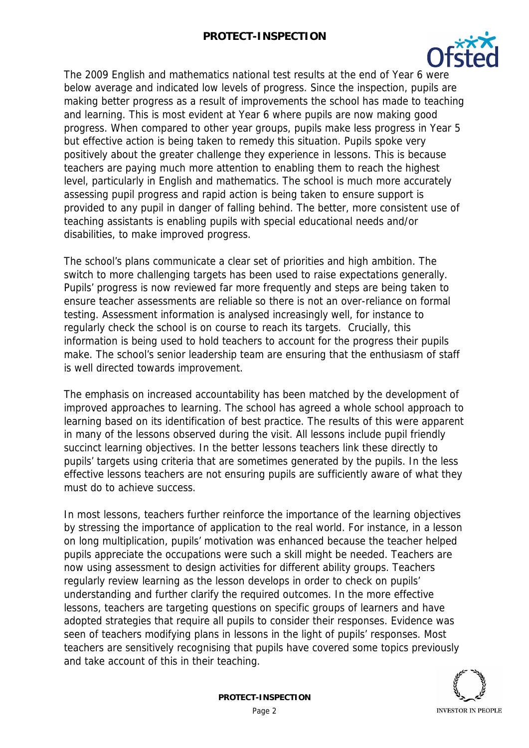

The 2009 English and mathematics national test results at the end of Year 6 were below average and indicated low levels of progress. Since the inspection, pupils are making better progress as a result of improvements the school has made to teaching and learning. This is most evident at Year 6 where pupils are now making good progress. When compared to other year groups, pupils make less progress in Year 5 but effective action is being taken to remedy this situation. Pupils spoke very positively about the greater challenge they experience in lessons. This is because teachers are paying much more attention to enabling them to reach the highest level, particularly in English and mathematics. The school is much more accurately assessing pupil progress and rapid action is being taken to ensure support is provided to any pupil in danger of falling behind. The better, more consistent use of teaching assistants is enabling pupils with special educational needs and/or disabilities, to make improved progress.

The school's plans communicate a clear set of priorities and high ambition. The switch to more challenging targets has been used to raise expectations generally. Pupils' progress is now reviewed far more frequently and steps are being taken to ensure teacher assessments are reliable so there is not an over-reliance on formal testing. Assessment information is analysed increasingly well, for instance to regularly check the school is on course to reach its targets. Crucially, this information is being used to hold teachers to account for the progress their pupils make. The school's senior leadership team are ensuring that the enthusiasm of staff is well directed towards improvement.

The emphasis on increased accountability has been matched by the development of improved approaches to learning. The school has agreed a whole school approach to learning based on its identification of best practice. The results of this were apparent in many of the lessons observed during the visit. All lessons include pupil friendly succinct learning objectives. In the better lessons teachers link these directly to pupils' targets using criteria that are sometimes generated by the pupils. In the less effective lessons teachers are not ensuring pupils are sufficiently aware of what they must do to achieve success.

In most lessons, teachers further reinforce the importance of the learning objectives by stressing the importance of application to the real world. For instance, in a lesson on long multiplication, pupils' motivation was enhanced because the teacher helped pupils appreciate the occupations were such a skill might be needed. Teachers are now using assessment to design activities for different ability groups. Teachers regularly review learning as the lesson develops in order to check on pupils' understanding and further clarify the required outcomes. In the more effective lessons, teachers are targeting questions on specific groups of learners and have adopted strategies that require all pupils to consider their responses. Evidence was seen of teachers modifying plans in lessons in the light of pupils' responses. Most teachers are sensitively recognising that pupils have covered some topics previously and take account of this in their teaching.